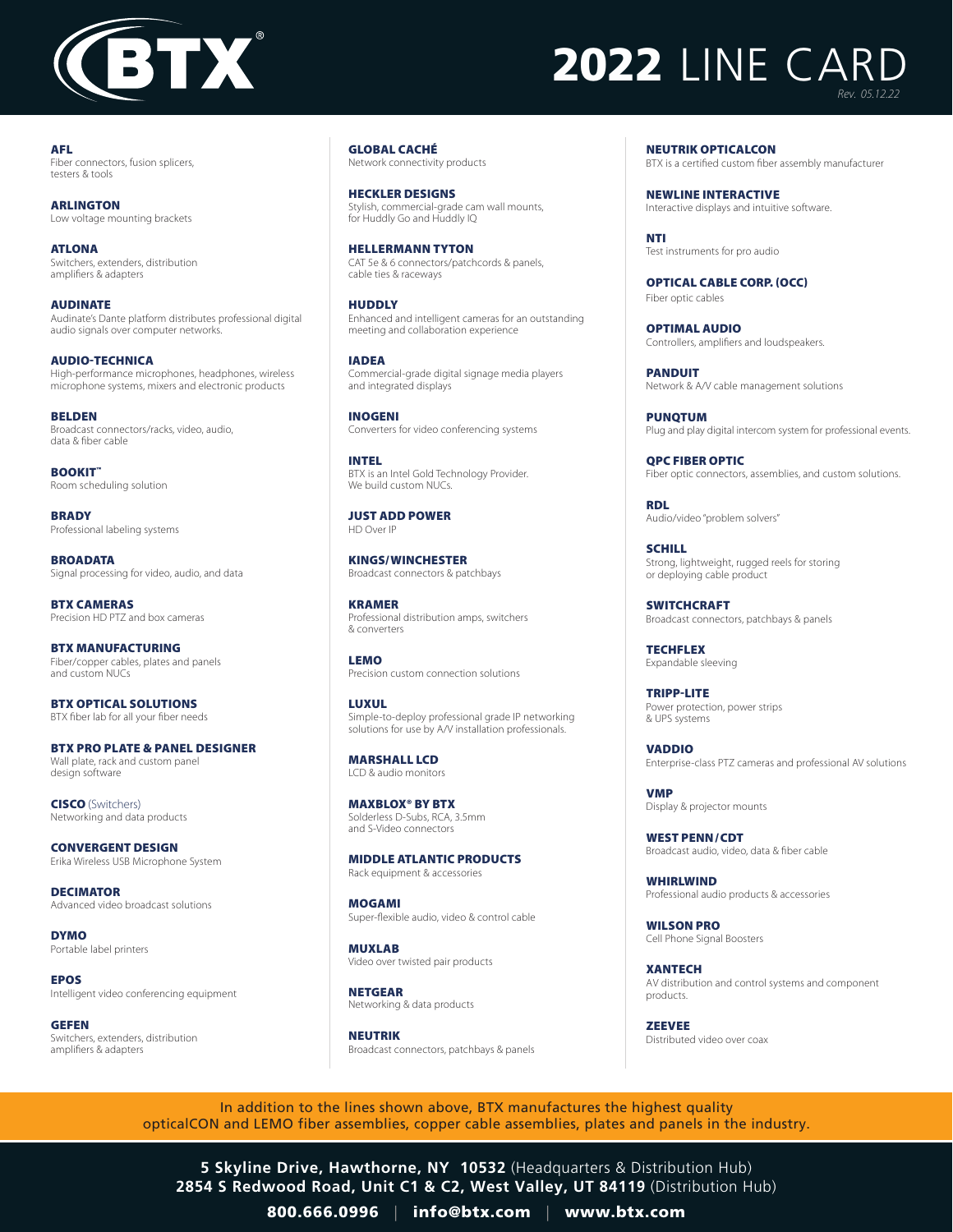

## **2022 LINE CAR** *Rev. 05.12.22*

AFL Fiber connectors, fusion splicers, testers & tools

ARLINGTON Low voltage mounting brackets

ATLONA Switchers, extenders, distribution amplifiers & adapters

AUDINATE Audinate's Dante platform distributes professional digital audio signals over computer networks.

AUDIO-TECHNICA High-performance microphones, headphones, wireless microphone systems, mixers and electronic products

BELDEN Broadcast connectors/racks, video, audio, data & fiber cable

BOOKIT" Room scheduling solution

**BRADY** Professional labeling systems

**BROADATA** Signal processing for video, audio, and data

BTX CAMERAS Precision HD PTZ and box cameras

BTX MANUFACTURING Fiber/copper cables, plates and panels and custom NUCs

BTX OPTICAL SOLUTIONS BTX fiber lab for all your fiber needs

BTX PRO PLATE & PANEL DESIGNER Wall plate, rack and custom panel design software

CISCO (Switchers) Networking and data products

CONVERGENT DESIGN Erika Wireless USB Microphone System

DECIMATOR Advanced video broadcast solutions

DYMO Portable label printers

EPOS Intelligent video conferencing equipment

GEFEN Switchers, extenders, distribution amplifiers & adapters

GLOBAL CACHÉ Network connectivity products

HECKLER DESIGNS Stylish, commercial-grade cam wall mounts, for Huddly Go and Huddly IQ

HELLERMANN TYTON CAT 5e & 6 connectors/patchcords & panels, cable ties & raceways

HUDDLY Enhanced and intelligent cameras for an outstanding meeting and collaboration experience

IADEA Commercial-grade digital signage media players and integrated displays

INOGENI Converters for video conferencing systems

INTEL BTX is an Intel Gold Technology Provider. We build custom NUCs.

JUST ADD POWER HD Over IP

KINGS/ WINCHESTER Broadcast connectors & patchbays

KRAMER Professional distribution amps, switchers & converters

LEMO Precision custom connection solutions

LUXUL Simple-to-deploy professional grade IP networking solutions for use by A/V installation professionals.

MARSHALL LCD LCD & audio monitors

MAXBLOX® BY BTX Solderless D-Subs, RCA, 3.5mm and S-Video connectors

MIDDLE ATLANTIC PRODUCTS Rack equipment & accessories

MOGAMI Super-flexible audio, video & control cable

MUXLAB Video over twisted pair products

NETGEAR Networking & data products

NEUTRIK Broadcast connectors, patchbays & panels NEUTRIK OPTICALCON BTX is a certified custom fiber assembly manufacturer

NEWLINE INTERACTIVE Interactive displays and intuitive software.

NTI Test instruments for pro audio

OPTICAL CABLE CORP. (OCC) Fiber optic cables

OPTIMAL AUDIO Controllers, amplifiers and loudspeakers.

PANDUIT Network & A/V cable management solutions

PUNQTUM Plug and play digital intercom system for professional events.

QPC FIBER OPTIC Fiber optic connectors, assemblies, and custom solutions.

RDL Audio/video "problem solvers"

**SCHILL** Strong, lightweight, rugged reels for storing or deploying cable product

**SWITCHCRAFT** Broadcast connectors, patchbays & panels

**TECHFLEX** Expandable sleeving

TRIPP-LITE Power protection, power strips & UPS systems

VADDIO Enterprise-class PTZ cameras and professional AV solutions

VMP Display & projector mounts

WEST PENN/CDT Broadcast audio, video, data & fiber cable

WHIRLWIND Professional audio products & accessories

WILSON PRO Cell Phone Signal Boosters

**XANTECH** AV distribution and control systems and component products.

**ZEEVEE** Distributed video over coax

In addition to the lines shown above, BTX manufactures the highest quality opticalCON and LEMO fiber assemblies, copper cable assemblies, plates and panels in the industry.

**5 Skyline Drive, Hawthorne, NY 10532** (Headquarters & Distribution Hub) **2854 S Redwood Road, Unit C1 & C2, West Valley, UT 84119** (Distribution Hub)